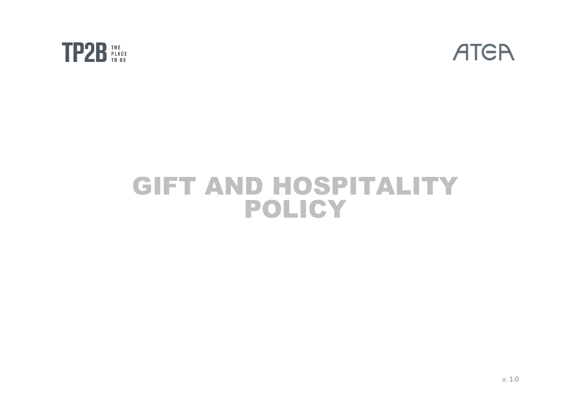



# GIFT AND HOSPITALITY POLICY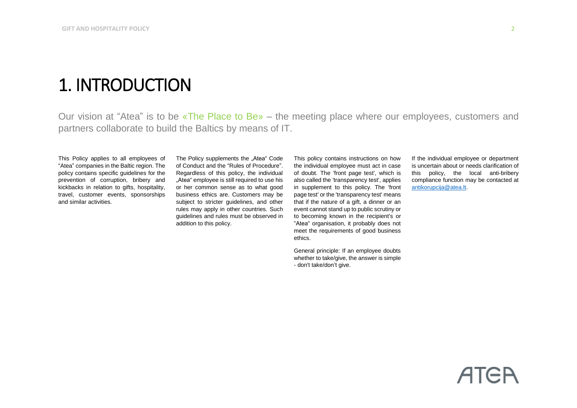## 1. INTRODUCTION

Our vision at "Atea" is to be «The Place to Be» – the meeting place where our employees, customers and partners collaborate to build the Baltics by means of IT.

This Policy applies to all employees of "Atea" companies in the Baltic region. The policy contains specific guidelines for the prevention of corruption, bribery and kickbacks in relation to gifts, hospitality, travel, customer events, sponsorships and similar activities.

The Policy supplements the "Atea" Code of Conduct and the "Rules of Procedure". Regardless of this policy, the individual "Atea" employee is still required to use his or her common sense as to what good business ethics are. Customers may be subject to stricter guidelines, and other rules may apply in other countries. Such guidelines and rules must be observed in addition to this policy.

This policy contains instructions on how the individual employee must act in case of doubt. The 'front page test', which is also called the 'transparency test', applies in supplement to this policy. The 'front page test' or the 'transparency test' means that if the nature of a gift, a dinner or an event cannot stand up to public scrutiny or to becoming known in the recipient's or "Atea" organisation, it probably does not meet the requirements of good business ethics.

General principle: If an employee doubts whether to take/give, the answer is simple - don't take/don't give.

If the individual employee or department is uncertain about or needs clarification of this policy, the local anti-bribery compliance function may be contacted at [antikorupcija@atea.lt.](mailto:antikorupcija@atea.lt)

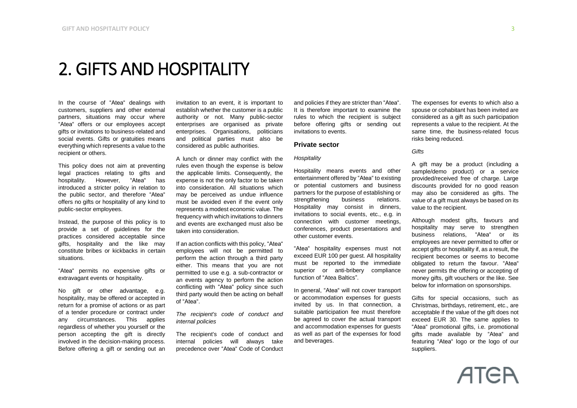### 2. GIFTS AND HOSPITALITY

In the course of "Atea" dealings with customers, suppliers and other external partners, situations may occur where "Atea" offers or our employees accept gifts or invitations to business-related and social events. Gifts or gratuities means everything which represents a value to the recipient or others.

This policy does not aim at preventing legal practices relating to gifts and hospitality. However, "Atea" has introduced a stricter policy in relation to the public sector, and therefore "Atea" offers no gifts or hospitality of any kind to public-sector employees.

Instead, the purpose of this policy is to provide a set of guidelines for the practices considered acceptable since gifts, hospitality and the like may constitute bribes or kickbacks in certain situations.

"Atea" permits no expensive gifts or extravagant events or hospitality.

No gift or other advantage, e.g. hospitality, may be offered or accepted in return for a promise of actions or as part of a tender procedure or contract under any circumstances. This applies regardless of whether you yourself or the person accepting the gift is directly involved in the decision-making process. Before offering a gift or sending out an invitation to an event, it is important to establish whether the customer is a public authority or not. Many public-sector enterprises are organised as private enterprises. Organisations, politicians and political parties must also be considered as public authorities.

A lunch or dinner may conflict with the rules even though the expense is below the applicable limits. Consequently, the expense is not the only factor to be taken into consideration. All situations which may be perceived as undue influence must be avoided even if the event only represents a modest economic value. The frequency with which invitations to dinners and events are exchanged must also be taken into consideration.

If an action conflicts with this policy, "Atea" employees will not be permitted to perform the action through a third party either. This means that you are not permitted to use e.g. a sub-contractor or an events agency to perform the action conflicting with "Atea" policy since such third party would then be acting on behalf of "Atea".

*The recipient's code of conduct and internal policies*

The recipient's code of conduct and internal policies will always take precedence over "Atea" Code of Conduct and policies if they are stricter than "Atea". It is therefore important to examine the rules to which the recipient is subject before offering gifts or sending out invitations to events.

#### **Private sector**

#### *Hospitality*

Hospitality means events and other entertainment offered by "Atea" to existing or potential customers and business partners for the purpose of establishing or strengthening business relations. Hospitality may consist in dinners, invitations to social events, etc., e.g. in connection with customer meetings, conferences, product presentations and other customer events.

"Atea" hospitality expenses must not exceed EUR 100 per guest. All hospitality must be reported to the immediate superior or anti-bribery compliance function of "Atea Baltics".

In general, "Atea" will not cover transport or accommodation expenses for guests invited by us. In that connection, a suitable participation fee must therefore be agreed to cover the actual transport and accommodation expenses for guests as well as part of the expenses for food and beverages.

The expenses for events to which also a spouse or cohabitant has been invited are considered as a gift as such participation represents a value to the recipient. At the same time, the business-related focus risks being reduced.

#### *Gifts*

A gift may be a product (including a sample/demo product) or a service provided/received free of charge. Large discounts provided for no good reason may also be considered as gifts. The value of a gift must always be based on its value to the recipient.

Although modest gifts, favours and hospitality may serve to strengthen business relations, "Atea" or its employees are never permitted to offer or accept gifts or hospitality if, as a result, the recipient becomes or seems to become obligated to return the favour. "Atea" never permits the offering or accepting of money gifts, gift vouchers or the like. See below for information on sponsorships.

Gifts for special occasions, such as Christmas, birthdays, retirement, etc., are acceptable if the value of the gift does not exceed EUR 30. The same applies to "Atea" promotional gifts, i.e. promotional gifts made available by "Atea" and featuring "Atea" logo or the logo of our suppliers.

**ATER**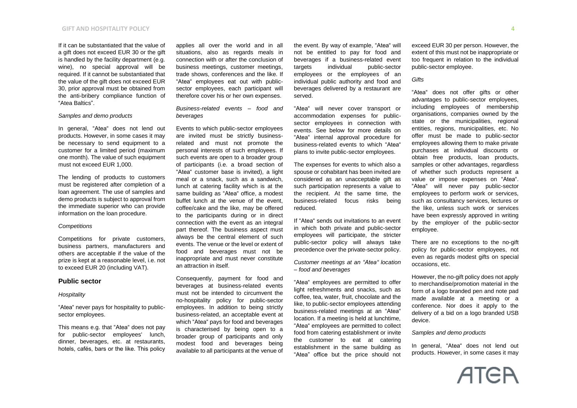#### **GIFT AND HOSPITALITY POLICY** 4

If it can be substantiated that the value of a gift does not exceed EUR 30 or the gift is handled by the facility department (e.g. wine), no special approval will be required. If it cannot be substantiated that the value of the gift does not exceed EUR 30, prior approval must be obtained from the anti-bribery compliance function of "Atea Baltics".

#### *Samples and demo products*

In general, "Atea" does not lend out products. However, in some cases it may be necessary to send equipment to a customer for a limited period (maximum one month). The value of such equipment must not exceed EUR 1,000.

The lending of products to customers must be registered after completion of a loan agreement. The use of samples and demo products is subject to approval from the immediate superior who can provide information on the loan procedure.

#### *Competitions*

Competitions for private customers, business partners, manufacturers and others are acceptable if the value of the prize is kept at a reasonable level, i.e. not to exceed EUR 20 (including VAT).

#### **Public sector**

#### *Hospitality*

"Atea" never pays for hospitality to publicsector employees.

This means e.g. that "Atea" does not pay for public-sector employees' lunch, dinner, beverages, etc. at restaurants, hotels, cafés, bars or the like. This policy applies all over the world and in all situations, also as regards meals in connection with or after the conclusion of business meetings, customer meetings, trade shows, conferences and the like. If "Atea" employees eat out with publicsector employees, each participant will therefore cover his or her own expenses.

*Business-related events – food and beverages*

Events to which public-sector employees are invited must be strictly businessrelated and must not promote the personal interests of such employees. If such events are open to a broader group of participants (i.e. a broad section of "Atea" customer base is invited), a light meal or a snack, such as a sandwich, lunch at catering facility which is at the same building as "Atea" office, a modest buffet lunch at the venue of the event, coffee/cake and the like, may be offered to the participants during or in direct connection with the event as an integral part thereof. The business aspect must always be the central element of such events. The venue or the level or extent of food and beverages must not be inappropriate and must never constitute an attraction in itself.

Consequently, payment for food and beverages at business-related events must not be intended to circumvent the no-hospitality policy for public-sector employees. In addition to being strictly business-related, an acceptable event at which "Atea" pays for food and beverages is characterised by being open to a broader group of participants and only modest food and beverages being available to all participants at the venue of

the event. By way of example, "Atea" will not be entitled to pay for food and beverages if a business-related event targets individual public-sector employees or the employees of an individual public authority and food and beverages delivered by a restaurant are served.

"Atea" will never cover transport or accommodation expenses for publicsector employees in connection with events. See below for more details on "Atea" internal approval procedure for business-related events to which "Atea" plans to invite public-sector employees.

The expenses for events to which also a spouse or cohabitant has been invited are considered as an unacceptable gift as such participation represents a value to the recipient. At the same time, the business-related focus risks being reduced.

If "Atea" sends out invitations to an event in which both private and public-sector employees will participate, the stricter public-sector policy will always take precedence over the private-sector policy.

*Customer meetings at an "Atea" location – food and beverages*

"Atea" employees are permitted to offer light refreshments and snacks, such as coffee, tea, water, fruit, chocolate and the like, to public-sector employees attending business-related meetings at an "Atea" location. If a meeting is held at lunchtime, "Atea" employees are permitted to collect food from catering establishment or invite the customer to eat at catering establishment in the same building as "Atea" office but the price should not

exceed EUR 30 per person. However, the extent of this must not be inappropriate or too frequent in relation to the individual public-sector employee.

#### *Gifts*

"Atea" does not offer gifts or other advantages to public-sector employees, including employees of membership organisations, companies owned by the state or the municipalities, regional entities, regions, municipalities, etc. No offer must be made to public-sector employees allowing them to make private purchases at individual discounts or obtain free products, loan products, samples or other advantages, regardless of whether such products represent a value or impose expenses on "Atea". "Atea" will never pay public-sector employees to perform work or services, such as consultancy services, lectures or the like, unless such work or services have been expressly approved in writing by the employer of the public-sector employee.

There are no exceptions to the no-gift policy for public-sector employees, not even as regards modest gifts on special occasions, etc.

However, the no-gift policy does not apply to merchandise/promotion material in the form of a logo branded pen and note pad made available at a meeting or a conference. Nor does it apply to the delivery of a bid on a logo branded USB device.

#### *Samples and demo products*

In general, "Atea" does not lend out products. However, in some cases it may

**ATER**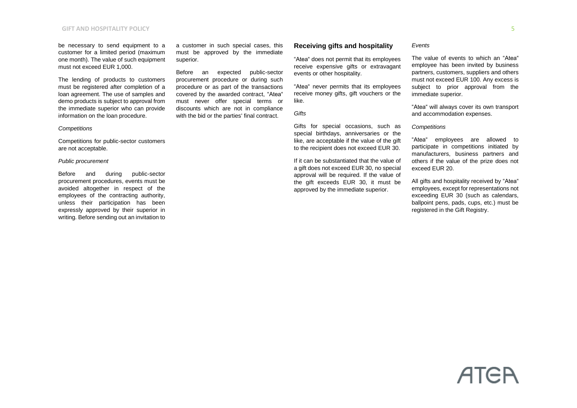#### **GIFT AND HOSPITALITY POLICY** 5

be necessary to send equipment to a customer for a limited period (maximum one month). The value of such equipment must not exceed EUR 1,000.

The lending of products to customers must be registered after completion of a loan agreement. The use of samples and demo products is subject to approval from the immediate superior who can provide information on the loan procedure.

#### *Competitions*

Competitions for public-sector customers are not acceptable.

#### *Public procurement*

Before and during public-sector procurement procedures, events must be avoided altogether in respect of the employees of the contracting authority, unless their participation has been expressly approved by their superior in writing. Before sending out an invitation to

a customer in such special cases, this must be approved by the immediate superior.

Before an expected public-sector procurement procedure or during such procedure or as part of the transactions covered by the awarded contract, "Atea" must never offer special terms or discounts which are not in compliance with the bid or the parties' final contract.

#### **Receiving gifts and hospitality**

"Atea" does not permit that its employees receive expensive gifts or extravagant events or other hospitality.

"Atea" never permits that its employees receive money gifts, gift vouchers or the like.

*Gifts*

Gifts for special occasions, such as special birthdays, anniversaries or the like, are acceptable if the value of the gift to the recipient does not exceed EUR 30.

If it can be substantiated that the value of a gift does not exceed EUR 30, no special approval will be required. If the value of the gift exceeds EUR 30, it must be approved by the immediate superior.

#### *Events*

The value of events to which an "Atea" employee has been invited by business partners, customers, suppliers and others must not exceed EUR 100. Any excess is subject to prior approval from the immediate superior.

"Atea" will always cover its own transport and accommodation expenses.

#### *Competitions*

"Atea" employees are allowed to participate in competitions initiated by manufacturers, business partners and others if the value of the prize does not exceed EUR 20.

All gifts and hospitality received by "Atea" employees, except for representations not exceeding EUR 30 (such as calendars, ballpoint pens, pads, cups, etc.) must be registered in the Gift Registry.

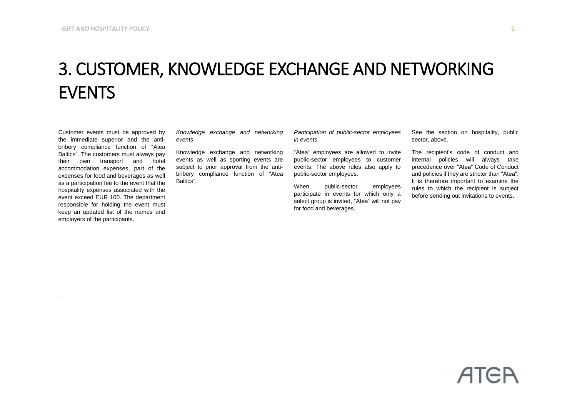# 3. CUSTOMER, KNOWLEDGE EXCHANGE AND NETWORKING EVENTS

Customer events must be approved by the immediate superior and the antibribery compliance function of "Atea Baltics". The customers must always pay their own transport and hotel accommodation expenses, part of the expenses for food and beverages as well as a participation fee to the event that the hospitality expenses associated with the event exceed EUR 100. The department responsible for holding the event must keep an updated list of the names and employers of the participants.

.

*Knowledge exchange and networking events*

Knowledge exchange and networking events as well as sporting events are subject to prior approval from the antibribery compliance function of "Atea Baltics".

*Participation of public-sector employees in events*

"Atea" employees are allowed to invite public-sector employees to customer events. The above rules also apply to public-sector employees.

When public-sector employees participate in events for which only a select group is invited, "Atea" will not pay for food and beverages.

See the section on hospitality, public sector, above.

The recipient's code of conduct and internal policies will always take precedence over "Atea" Code of Conduct and policies if they are stricter than "Atea". It is therefore important to examine the rules to which the recipient is subject before sending out invitations to events.

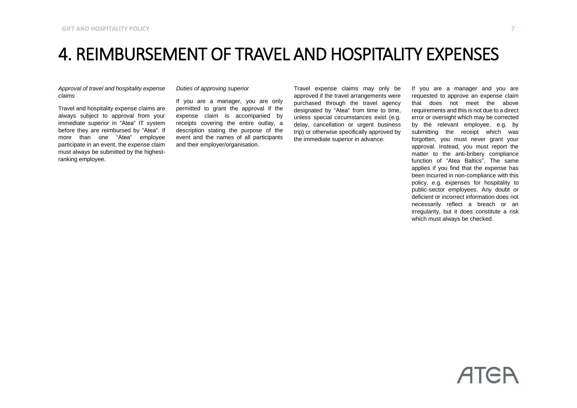### 4. REIMBURSEMENT OF TRAVEL AND HOSPITALITY EXPENSES

*Approval of travel and hospitality expense claims*

Travel and hospitality expense claims are always subject to approval from your immediate superior in "Atea" IT system before they are reimbursed by "Atea". If more than one "Atea" employee participate in an event, the expense claim must always be submitted by the highestranking employee.

#### *Duties of approving superior*

If you are a manager, you are only permitted to grant the approval if the expense claim is accompanied by receipts covering the entire outlay, a description stating the purpose of the event and the names of all participants and their employer/organisation.

Travel expense claims may only be approved if the travel arrangements were purchased through the travel agency designated by "Atea" from time to time, unless special circumstances exist (e.g. delay, cancellation or urgent business trip) or otherwise specifically approved by the immediate superior in advance.

If you are a manager and you are requested to approve an expense claim that does not meet the above requirements and this is not due to a direct error or oversight which may be corrected by the relevant employee, e.g. by submitting the receipt which was forgotten, you must never grant your approval. Instead, you must report the matter to the anti-bribery compliance function of "Atea Baltics". The same applies if you find that the expense has been incurred in non-compliance with this policy, e.g. expenses for hospitality to public-sector employees. Any doubt or deficient or incorrect information does not necessarily reflect a breach or an irregularity, but it does constitute a risk which must always be checked.

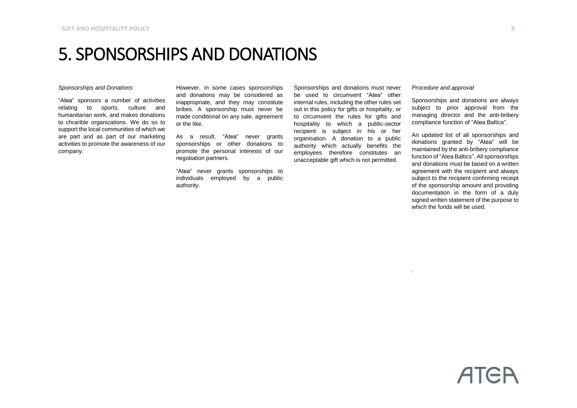### 5. SPONSORSHIPS AND DONATIONS

#### *Sponsorships and Donations*

"Atea" sponsors a number of activities relating to sports, culture and humanitarian work, and makes donations to chrarible organizations. We do so to support the local communities of which we are part and as part of our marketing activities to promote the awareness of our company.

However, in some cases sponsorships and donations may be considered as inappropriate, and they may constitute bribes. A sponsorship must never be made conditional on any sale, agreement or the like.

As a result, "Atea" never grants sponsorships or other donations to promote the personal interests of our negotiation partners.

"Atea" never grants sponsorships to individuals employed by a public authority.

Sponsorships and donations must never be used to circumvent "Atea" other internal rules, including the other rules set out in this policy for gifts or hospitality, or to circumvent the rules for gifts and hospitality to which a public-sector recipient is subject in his or her organisation. A donation to a public authority which actually benefits the employees therefore constitutes an unacceptable gift which is not permitted.

*Procedure and approval*

.

Sponsorships and donations are always subject to prior approval from the managing director and the anti-bribery compliance function of "Atea Baltics".

An updated list of all sponsorships and donations granted by "Atea" will be maintained by the anti-bribery compliance function of "Atea Baltics". All sponsorships and donations must be based on a written agreement with the recipient and always subject to the recipient confirming receipt of the sponsorship amount and providing documentation in the form of a duly signed written statement of the purpose to which the funds will be used.